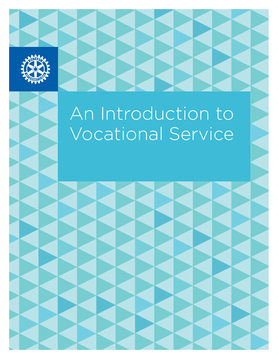

# An Introduction to Vocational Service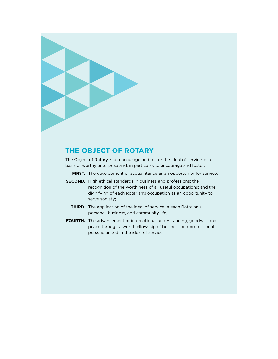

## **The Object of Rotary**

The Object of Rotary is to encourage and foster the ideal of service as a basis of worthy enterprise and, in particular, to encourage and foster:

- **FIRST.** The development of acquaintance as an opportunity for service;
- **SECOND.** High ethical standards in business and professions; the recognition of the worthiness of all useful occupations; and the dignifying of each Rotarian's occupation as an opportunity to serve society;
	- **THIRD.** The application of the ideal of service in each Rotarian's personal, business, and community life;
- **FOURTH.** The advancement of international understanding, goodwill, and peace through a world fellowship of business and professional persons united in the ideal of service.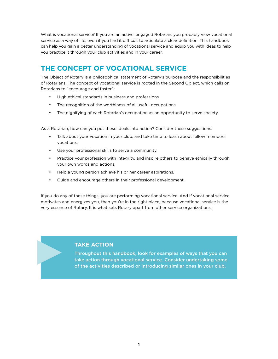What is vocational service? If you are an active, engaged Rotarian, you probably view vocational service as a way of life, even if you find it difficult to articulate a clear definition. This handbook can help you gain a better understanding of vocational service and equip you with ideas to help you practice it through your club activities and in your career.

# **The concept of vocational service**

The Object of Rotary is a philosophical statement of Rotary's purpose and the responsibilities of Rotarians. The concept of vocational service is rooted in the Second Object, which calls on Rotarians to "encourage and foster":

- • High ethical standards in business and professions
- • The recognition of the worthiness of all useful occupations
- The dignifying of each Rotarian's occupation as an opportunity to serve society

As a Rotarian, how can you put these ideals into action? Consider these suggestions:

- Talk about your vocation in your club, and take time to learn about fellow members' vocations.
- • Use your professional skills to serve a community.
- Practice your profession with integrity, and inspire others to behave ethically through your own words and actions.
- Help a young person achieve his or her career aspirations.
- • Guide and encourage others in their professional development.

If you do any of these things, you are performing vocational service. And if vocational service motivates and energizes you, then you're in the right place, because vocational service is the very essence of Rotary. It is what sets Rotary apart from other service organizations.

## **Take Action**

Throughout this handbook, look for examples of ways that you can take action through vocational service. Consider undertaking some of the activities described or introducing similar ones in your club.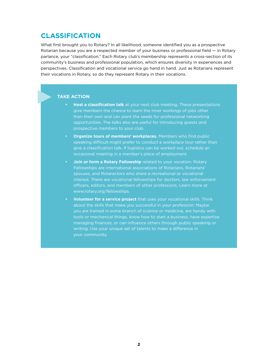## **Classification**

What first brought you to Rotary? In all likelihood, someone identified you as a prospective Rotarian because you are a respected member of your business or professional field — in Rotary parlance, your "classification." Each Rotary club's membership represents a cross-section of its community's business and professional population, which ensures diversity in experiences and perspectives. Classification and vocational service go hand in hand. Just as Rotarians represent their vocations in Rotary, so do they represent Rotary in their vocations.

#### **Take Action**

- Host a classification talk at your next club meeting. These presentations give members the chance to learn the inner workings of jobs other than their own and can plant the seeds for professional networking opportunities. The talks also are useful for introducing guests and prospective members to your club.
- **Organize tours of members' workplaces.** Members who find public speaking difficult might prefer to conduct a workplace tour rather than give a classification talk. If logistics can be worked out, schedule an occasional meeting in a member's place of employment.
- **Join or form a Rotary Fellowship** related to your vocation. Rotary Fellowships are international associations of Rotarians, Rotarians' spouses, and Rotaractors who share a recreational or vocational interest. There are vocational fellowships for doctors, law enforcement officers, editors, and members of other professions. Learn more at [www.rotary.org/fellowships.](http://www.rotary.org/fellowships)
- **Volunteer for a service project** that uses your vocational skills. Think about the skills that make you successful in your profession: Maybe you are trained in some branch of science or medicine, are handy with tools or mechanical things, know how to start a business, have expertise managing finances, or can influence others through public speaking or writing. Use your unique set of talents to make a difference in your community.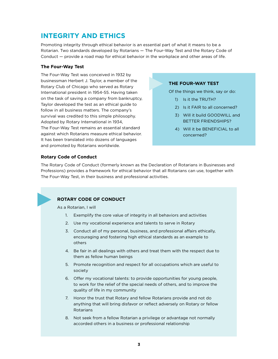## **Integrity and ethics**

Promoting integrity through ethical behavior is an essential part of what it means to be a Rotarian. Two standards developed by Rotarians — The Four-Way Test and the Rotary Code of Conduct — provide a road map for ethical behavior in the workplace and other areas of life.

#### **The Four-Way Test**

The Four-Way Test was conceived in 1932 by businessman Herbert J. Taylor, a member of the Rotary Club of Chicago who served as Rotary International president in 1954-55. Having taken on the task of saving a company from bankruptcy, Taylor developed the test as an ethical guide to follow in all business matters. The company's survival was credited to this simple philosophy. Adopted by Rotary International in 1934, The Four-Way Test remains an essential standard against which Rotarians measure ethical behavior. It has been translated into dozens of languages and promoted by Rotarians worldwide.

#### **The Four-Way Test**

Of the things we think, say or do:

- 1) Is it the TRUTH?
- 2) Is it FAIR to all concerned?
- 3) Will it build GOODWILL and BETTER FRIENDSHIPS?
- 4) Will it be BENEFICIAL to all concerned?

#### **Rotary Code of Conduct**

The Rotary Code of Conduct (formerly known as the Declaration of Rotarians in Businesses and Professions) provides a framework for ethical behavior that all Rotarians can use, together with The Four-Way Test, in their business and professional activities.



## **Rotary Code of Conduct**

As a Rotarian, I will

- 1. Exemplify the core value of integrity in all behaviors and activities
- 2. Use my vocational experience and talents to serve in Rotary
- 3. Conduct all of my personal, business, and professional affairs ethically, encouraging and fostering high ethical standards as an example to others
- 4. Be fair in all dealings with others and treat them with the respect due to them as fellow human beings
- 5. Promote recognition and respect for all occupations which are useful to society
- 6. Offer my vocational talents: to provide opportunities for young people, to work for the relief of the special needs of others, and to improve the quality of life in my community
- 7. Honor the trust that Rotary and fellow Rotarians provide and not do anything that will bring disfavor or reflect adversely on Rotary or fellow Rotarians
- 8. Not seek from a fellow Rotarian a privilege or advantage not normally accorded others in a business or professional relationship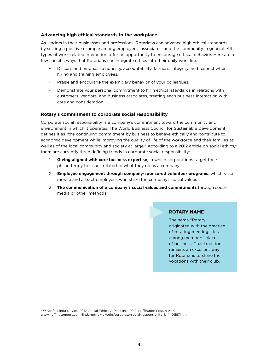#### **Advancing high ethical standards in the workplace**

As leaders in their businesses and professions, Rotarians can advance high ethical standards by setting a positive example among employees, associates, and the community in general. All types of work-related interaction offer an opportunity to encourage ethical behavior. Here are a few specific ways that Rotarians can integrate ethics into their daily work life:

- Discuss and emphasize honesty, accountability, fairness, integrity, and respect when hiring and training employees.
- • Praise and encourage the exemplary behavior of your colleagues.
- Demonstrate your personal commitment to high ethical standards in relations with customers, vendors, and business associates, treating each business interaction with care and consideration.

#### **Rotary's commitment to corporate social responsibility**

Corporate social responsibility is a company's commitment toward the community and environment in which it operates. The World Business Council for Sustainable Development defines it as "the continuing commitment by business to behave ethically and contribute to economic development while improving the quality of life of the workforce and their families as well as of the local community and society at large." According to a 2012 article on social ethics,\* there are currently three defining trends in corporate social responsibility:

- 1. **Giving aligned with core business expertise**, in which corporations target their philanthropy to issues related to what they do as a company
- 2. **Employee engagement through company-sponsored volunteer programs**, which raise morale and attract employees who share the company's social values
- 3. **The communication of a company's social values and commitments** through social media or other methods

#### **Rotary Name**

The name "Rotary" originated with the practice of rotating meeting sites among members' places of business. That tradition remains an excellent way for Rotarians to share their vocations with their club.

\* O'Keefe, Linda Novick. 2012. Social Ethics: A Peek Into 2012. Huffington Post, 4 April, [www.huffingtonpost.com/linda-novick-okeefe/corporate-social-responsibility\\_b\\_1401187.html](http://www.huffingtonpost.com/linda-novick-okeefe/corporate-social-responsibility_b_1401187.html)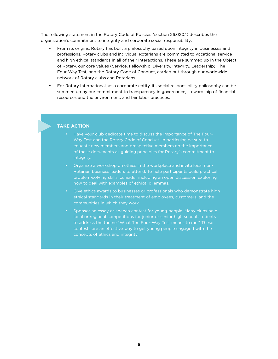The following statement in the Rotary Code of Policies (section 26.020.1) describes the organization's commitment to integrity and corporate social responsibility:

- From its origins, Rotary has built a philosophy based upon integrity in businesses and professions. Rotary clubs and individual Rotarians are committed to vocational service and high ethical standards in all of their interactions. These are summed up in the Object of Rotary, our core values (Service, Fellowship, Diversity, Integrity, Leadership), The Four-Way Test, and the Rotary Code of Conduct, carried out through our worldwide network of Rotary clubs and Rotarians.
- For Rotary International, as a corporate entity, its social responsibility philosophy can be summed up by our commitment to transparency in governance, stewardship of financial resources and the environment, and fair labor practices.

#### **Take Action**

- Have your club dedicate time to discuss the importance of The Four-Way Test and the Rotary Code of Conduct. In particular, be sure to educate new members and prospective members on the importance of these documents as guiding principles for Rotary's commitment to integrity.
- Organize a workshop on ethics in the workplace and invite local non-Rotarian business leaders to attend. To help participants build practical problem-solving skills, consider including an open discussion exploring how to deal with examples of ethical dilemmas.
- Give ethics awards to businesses or professionals who demonstrate high ethical standards in their treatment of employees, customers, and the communities in which they work.
- Sponsor an essay or speech contest for young people. Many clubs hold local or regional competitions for junior or senior high school students to address the theme "What The Four-Way Test means to me." These contests are an effective way to get young people engaged with the concepts of ethics and integrity.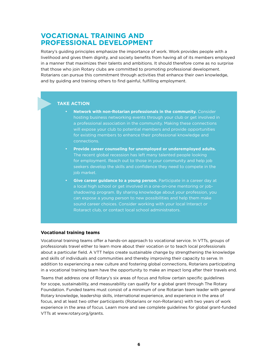## **Vocational training and professional development**

Rotary's guiding principles emphasize the importance of work. Work provides people with a livelihood and gives them dignity, and society benefits from having all of its members employed in a manner that maximizes their talents and ambitions. It should therefore come as no surprise that those who join Rotary clubs are committed to promoting professional development. Rotarians can pursue this commitment through activities that enhance their own knowledge, and by guiding and training others to find gainful, fulfilling employment.

#### **Take Action**

- **Network with non-Rotarian professionals in the community.** Consider hosting business networking events through your club or get involved in a professional association in the community. Making these connections will expose your club to potential members and provide opportunities for existing members to enhance their professional knowledge and connections.
- Provide career counseling for unemployed or underemployed adults. The recent global recession has left many talented people looking for employment. Reach out to those in your community and help job seekers develop the skills and confidence they need to compete in the job market.
- **Give career guidance to a young person.** Participate in a career day at a local high school or get involved in a one-on-one mentoring or jobshadowing program. By sharing knowledge about your profession, you can expose a young person to new possibilities and help them make sound career choices. Consider working with your local Interact or Rotaract club, or contact local school administrators.

#### **Vocational training teams**

Vocational training teams offer a hands-on approach to vocational service. In VTTs, groups of professionals travel either to learn more about their vocation or to teach local professionals about a particular field. A VTT helps create sustainable change by strengthening the knowledge and skills of individuals and communities and thereby improving their capacity to serve. In addition to experiencing a new culture and fostering global connections, Rotarians participating in a vocational training team have the opportunity to make an impact long after their travels end.

Teams that address one of Rotary's six areas of focus and follow certain specific guidelines for scope, sustainability, and measurability can qualify for a global grant through The Rotary Foundation. Funded teams must consist of a minimum of one Rotarian team leader with general Rotary knowledge, leadership skills, international experience, and experience in the area of focus, and at least two other participants (Rotarians or non-Rotarians) with two years of work experience in the area of focus. Learn more and see complete guidelines for global grant-funded VTTs at [www.rotary.org/grants.](http://www.rotary.org/grants)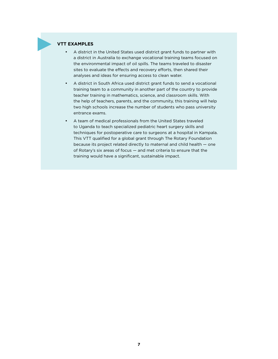#### **VTT Examples**

- • A district in the United States used district grant funds to partner with a district in Australia to exchange vocational training teams focused on the environmental impact of oil spills. The teams traveled to disaster sites to evaluate the effects and recovery efforts, then shared their analyses and ideas for ensuring access to clean water.
- • A district in South Africa used district grant funds to send a vocational training team to a community in another part of the country to provide teacher training in mathematics, science, and classroom skills. With the help of teachers, parents, and the community, this training will help two high schools increase the number of students who pass university entrance exams.
- A team of medical professionals from the United States traveled to Uganda to teach specialized pediatric heart surgery skills and techniques for postoperative care to surgeons at a hospital in Kampala. This VTT qualified for a global grant through The Rotary Foundation because its project related directly to maternal and child health — one of Rotary's six areas of focus — and met criteria to ensure that the training would have a significant, sustainable impact.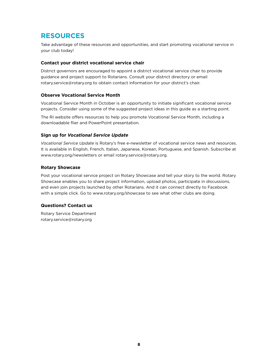## **Resources**

Take advantage of these resources and opportunities, and start promoting vocational service in your club today!

#### **Contact your district vocational service chair**

District governors are encouraged to appoint a district vocational service chair to provide guidance and project support to Rotarians. Consult your district directory or email [rotary.service@rotary.org](mailto:rotary.service@rotary.org) to obtain contact information for your district's chair.

#### **Observe Vocational Service Month**

Vocational Service Month in October is an opportunity to initiate significant vocational service projects. Consider using some of the suggested project ideas in this guide as a starting point.

The RI website offers resources to help you promote Vocational Service Month, including a downloadable flier and PowerPoint presentation.

#### **Sign up for** *Vocational Service Update*

*Vocational Service Update* is Rotary's free e-newsletter of vocational service news and resources. It is available in English, French, Italian, Japanese, Korean, Portuguese, and Spanish. Subscribe at [www.rotary.org/newsletters](http://www.rotary.org/newsletters) or email [rotary.service@rotary.org](mailto:rotary.service@rotary.org).

#### **Rotary Showcase**

Post your vocational service project on Rotary Showcase and tell your story to the world. Rotary Showcase enables you to share project information, upload photos, participate in discussions, and even join projects launched by other Rotarians. And it can connect directly to Facebook with a simple click. Go to [www.rotary.org/showcase](http://www.rotary.org/showcase) to see what other clubs are doing.

## **Questions? Contact us**

Rotary Service Department [rotary.service@rotary.org](mailto:rotary.service@rotary.org)